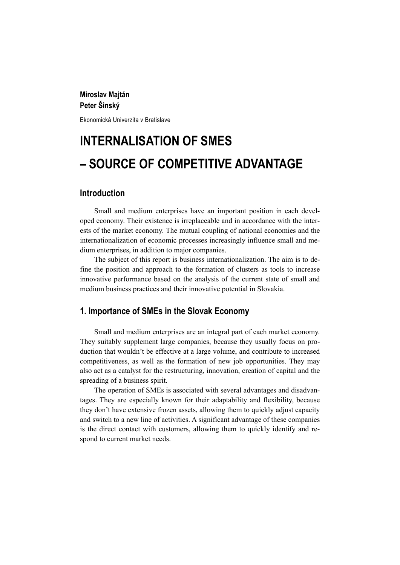## **Miroslav Majtán Peter Šinský**

Ekonomická Univerzita v Bratislave

# **INTERNALISATION OF SMES – SOURCE OF COMPETITIVE ADVANTAGE**

## **Introduction**

Small and medium enterprises have an important position in each developed economy. Their existence is irreplaceable and in accordance with the interests of the market economy. The mutual coupling of national economies and the internationalization of economic processes increasingly influence small and medium enterprises, in addition to major companies.

The subject of this report is business internationalization. The aim is to define the position and approach to the formation of clusters as tools to increase innovative performance based on the analysis of the current state of small and medium business practices and their innovative potential in Slovakia.

#### **1. Importance of SMEs in the Slovak Economy**

Small and medium enterprises are an integral part of each market economy. They suitably supplement large companies, because they usually focus on production that wouldn't be effective at a large volume, and contribute to increased competitiveness, as well as the formation of new job opportunities. They may also act as a catalyst for the restructuring, innovation, creation of capital and the spreading of a business spirit.

The operation of SMEs is associated with several advantages and disadvantages. They are especially known for their adaptability and flexibility, because they don't have extensive frozen assets, allowing them to quickly adjust capacity and switch to a new line of activities. A significant advantage of these companies is the direct contact with customers, allowing them to quickly identify and respond to current market needs.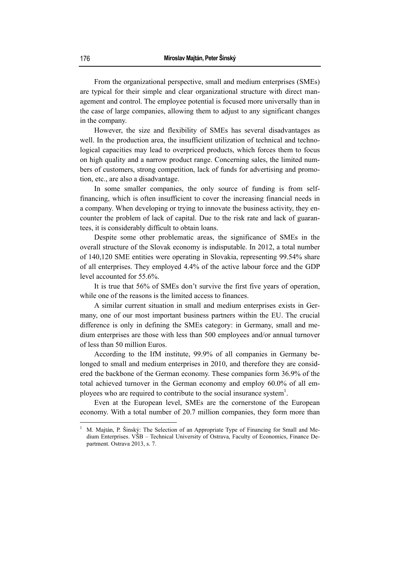From the organizational perspective, small and medium enterprises (SMEs) are typical for their simple and clear organizational structure with direct management and control. The employee potential is focused more universally than in the case of large companies, allowing them to adjust to any significant changes in the company.

However, the size and flexibility of SMEs has several disadvantages as well. In the production area, the insufficient utilization of technical and technological capacities may lead to overpriced products, which forces them to focus on high quality and a narrow product range. Concerning sales, the limited numbers of customers, strong competition, lack of funds for advertising and promotion, etc., are also a disadvantage.

In some smaller companies, the only source of funding is from selffinancing, which is often insufficient to cover the increasing financial needs in a company. When developing or trying to innovate the business activity, they encounter the problem of lack of capital. Due to the risk rate and lack of guarantees, it is considerably difficult to obtain loans.

Despite some other problematic areas, the significance of SMEs in the overall structure of the Slovak economy is indisputable. In 2012, a total number of 140,120 SME entities were operating in Slovakia, representing 99.54% share of all enterprises. They employed 4.4% of the active labour force and the GDP level accounted for 55.6%.

It is true that 56% of SMEs don't survive the first five years of operation, while one of the reasons is the limited access to finances.

A similar current situation in small and medium enterprises exists in Germany, one of our most important business partners within the EU. The crucial difference is only in defining the SMEs category: in Germany, small and medium enterprises are those with less than 500 employees and/or annual turnover of less than 50 million Euros.

According to the IfM institute, 99.9% of all companies in Germany belonged to small and medium enterprises in 2010, and therefore they are considered the backbone of the German economy. These companies form 36.9% of the total achieved turnover in the German economy and employ 60.0% of all employees who are required to contribute to the social insurance system<sup>1</sup>.

Even at the European level, SMEs are the cornerstone of the European economy. With a total number of 20.7 million companies, they form more than

<sup>1</sup> M. Majtán, P. Šinský: The Selection of an Appropriate Type of Financing for Small and Medium Enterprises. VŠB – Technical University of Ostrava, Faculty of Economics, Finance Department. Ostrava 2013, s. 7.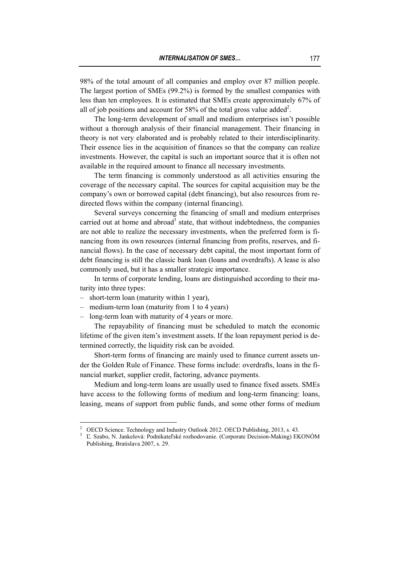98% of the total amount of all companies and employ over 87 million people. The largest portion of SMEs (99.2%) is formed by the smallest companies with less than ten employees. It is estimated that SMEs create approximately 67% of all of job positions and account for 58% of the total gross value added<sup>2</sup>.

The long-term development of small and medium enterprises isn't possible without a thorough analysis of their financial management. Their financing in theory is not very elaborated and is probably related to their interdisciplinarity. Their essence lies in the acquisition of finances so that the company can realize investments. However, the capital is such an important source that it is often not available in the required amount to finance all necessary investments.

The term financing is commonly understood as all activities ensuring the coverage of the necessary capital. The sources for capital acquisition may be the company's own or borrowed capital (debt financing), but also resources from redirected flows within the company (internal financing).

Several surveys concerning the financing of small and medium enterprises carried out at home and abroad<sup>3</sup> state, that without indebtedness, the companies are not able to realize the necessary investments, when the preferred form is financing from its own resources (internal financing from profits, reserves, and financial flows). In the case of necessary debt capital, the most important form of debt financing is still the classic bank loan (loans and overdrafts). A lease is also commonly used, but it has a smaller strategic importance.

In terms of corporate lending, loans are distinguished according to their maturity into three types:

- short-term loan (maturity within 1 year),
- medium-term loan (maturity from 1 to 4 years)
- long-term loan with maturity of 4 years or more.

The repayability of financing must be scheduled to match the economic lifetime of the given item's investment assets. If the loan repayment period is determined correctly, the liquidity risk can be avoided.

Short-term forms of financing are mainly used to finance current assets under the Golden Rule of Finance. These forms include: overdrafts, loans in the financial market, supplier credit, factoring, advance payments.

Medium and long-term loans are usually used to finance fixed assets. SMEs have access to the following forms of medium and long-term financing: loans, leasing, means of support from public funds, and some other forms of medium

 $\frac{1}{2}$ OECD Science. Technology and Industry Outlook 2012. OECD Publishing, 2013, s. 43.

<sup>3</sup> Ľ. Szabo, N. Jankelová: Podnikateľské rozhodovanie. (Corporate Decision-Making) EKONÓM Publishing, Bratislava 2007, s. 29.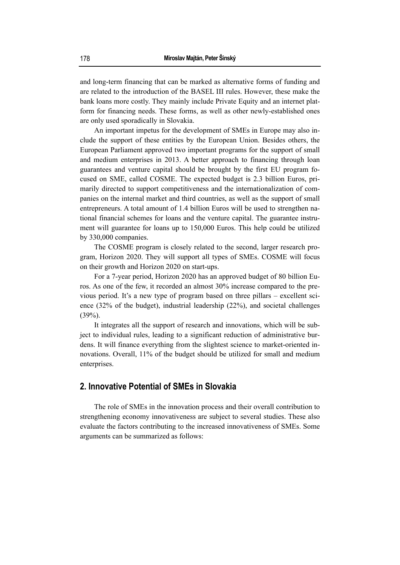and long-term financing that can be marked as alternative forms of funding and are related to the introduction of the BASEL III rules. However, these make the bank loans more costly. They mainly include Private Equity and an internet platform for financing needs. These forms, as well as other newly-established ones are only used sporadically in Slovakia.

An important impetus for the development of SMEs in Europe may also include the support of these entities by the European Union. Besides others, the European Parliament approved two important programs for the support of small and medium enterprises in 2013. A better approach to financing through loan guarantees and venture capital should be brought by the first EU program focused on SME, called COSME. The expected budget is 2.3 billion Euros, primarily directed to support competitiveness and the internationalization of companies on the internal market and third countries, as well as the support of small entrepreneurs. A total amount of 1.4 billion Euros will be used to strengthen national financial schemes for loans and the venture capital. The guarantee instrument will guarantee for loans up to 150,000 Euros. This help could be utilized by 330,000 companies.

The COSME program is closely related to the second, larger research program, Horizon 2020. They will support all types of SMEs. COSME will focus on their growth and Horizon 2020 on start-ups.

For a 7-year period, Horizon 2020 has an approved budget of 80 billion Euros. As one of the few, it recorded an almost 30% increase compared to the previous period. It's a new type of program based on three pillars – excellent science (32% of the budget), industrial leadership (22%), and societal challenges  $(39\%)$ .

It integrates all the support of research and innovations, which will be subject to individual rules, leading to a significant reduction of administrative burdens. It will finance everything from the slightest science to market-oriented innovations. Overall, 11% of the budget should be utilized for small and medium enterprises.

## **2. Innovative Potential of SMEs in Slovakia**

The role of SMEs in the innovation process and their overall contribution to strengthening economy innovativeness are subject to several studies. These also evaluate the factors contributing to the increased innovativeness of SMEs. Some arguments can be summarized as follows: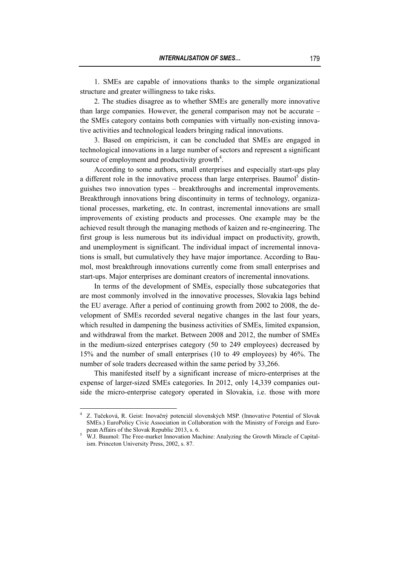1. SMEs are capable of innovations thanks to the simple organizational structure and greater willingness to take risks.

2. The studies disagree as to whether SMEs are generally more innovative than large companies. However, the general comparison may not be accurate – the SMEs category contains both companies with virtually non-existing innovative activities and technological leaders bringing radical innovations.

3. Based on empiricism, it can be concluded that SMEs are engaged in technological innovations in a large number of sectors and represent a significant source of employment and productivity growth $4$ .

According to some authors, small enterprises and especially start-ups play a different role in the innovative process than large enterprises. Baumol<sup>5</sup> distinguishes two innovation types – breakthroughs and incremental improvements. Breakthrough innovations bring discontinuity in terms of technology, organizational processes, marketing, etc. In contrast, incremental innovations are small improvements of existing products and processes. One example may be the achieved result through the managing methods of kaizen and re-engineering. The first group is less numerous but its individual impact on productivity, growth, and unemployment is significant. The individual impact of incremental innovations is small, but cumulatively they have major importance. According to Baumol, most breakthrough innovations currently come from small enterprises and start-ups. Major enterprises are dominant creators of incremental innovations.

In terms of the development of SMEs, especially those subcategories that are most commonly involved in the innovative processes, Slovakia lags behind the EU average. After a period of continuing growth from 2002 to 2008, the development of SMEs recorded several negative changes in the last four years, which resulted in dampening the business activities of SMEs, limited expansion, and withdrawal from the market. Between 2008 and 2012, the number of SMEs in the medium-sized enterprises category (50 to 249 employees) decreased by 15% and the number of small enterprises (10 to 49 employees) by 46%. The number of sole traders decreased within the same period by 33,266.

This manifested itself by a significant increase of micro-enterprises at the expense of larger-sized SMEs categories. In 2012, only 14,339 companies outside the micro-enterprise category operated in Slovakia, i.e. those with more

<sup>4</sup> Z. Tučeková, R. Geist: Inovačný potenciál slovenských MSP. (Innovative Potential of Slovak SMEs.) EuroPolicy Civic Association in Collaboration with the Ministry of Foreign and European Affairs of the Slovak Republic 2013, s. 6.

<sup>&</sup>lt;sup>5</sup> W.J. Baumol: The Free-market Innovation Machine: Analyzing the Growth Miracle of Capitalism. Princeton University Press, 2002, s. 87.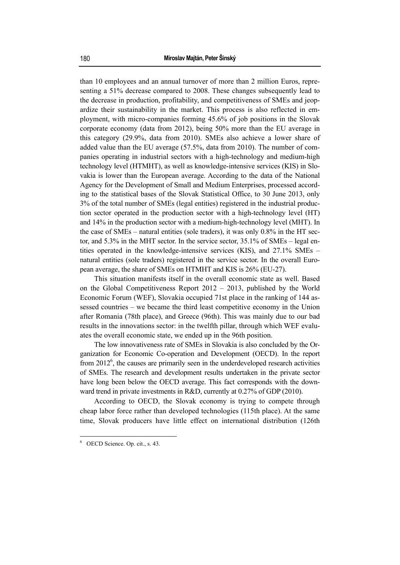than 10 employees and an annual turnover of more than 2 million Euros, representing a 51% decrease compared to 2008. These changes subsequently lead to the decrease in production, profitability, and competitiveness of SMEs and jeopardize their sustainability in the market. This process is also reflected in employment, with micro-companies forming 45.6% of job positions in the Slovak corporate economy (data from 2012), being 50% more than the EU average in this category (29.9%, data from 2010). SMEs also achieve a lower share of added value than the EU average (57.5%, data from 2010). The number of companies operating in industrial sectors with a high-technology and medium-high technology level (HTMHT), as well as knowledge-intensive services (KIS) in Slovakia is lower than the European average. According to the data of the National Agency for the Development of Small and Medium Enterprises, processed according to the statistical bases of the Slovak Statistical Office, to 30 June 2013, only 3% of the total number of SMEs (legal entities) registered in the industrial production sector operated in the production sector with a high-technology level (HT) and 14% in the production sector with a medium-high-technology level (MHT). In the case of SMEs – natural entities (sole traders), it was only 0.8% in the HT sector, and 5.3% in the MHT sector. In the service sector, 35.1% of SMEs – legal entities operated in the knowledge-intensive services (KIS), and 27.1% SMEs – natural entities (sole traders) registered in the service sector. In the overall European average, the share of SMEs on HTMHT and KIS is 26% (EU-27).

This situation manifests itself in the overall economic state as well. Based on the Global Competitiveness Report 2012 – 2013, published by the World Economic Forum (WEF), Slovakia occupied 71st place in the ranking of 144 assessed countries – we became the third least competitive economy in the Union after Romania (78th place), and Greece (96th). This was mainly due to our bad results in the innovations sector: in the twelfth pillar, through which WEF evaluates the overall economic state, we ended up in the 96th position.

The low innovativeness rate of SMEs in Slovakia is also concluded by the Organization for Economic Co-operation and Development (OECD). In the report from  $2012^6$ , the causes are primarily seen in the underdeveloped research activities of SMEs. The research and development results undertaken in the private sector have long been below the OECD average. This fact corresponds with the downward trend in private investments in R&D, currently at 0.27% of GDP (2010).

According to OECD, the Slovak economy is trying to compete through cheap labor force rather than developed technologies (115th place). At the same time, Slovak producers have little effect on international distribution (126th

<sup>6</sup> OECD Science. Op. cit., s. 43.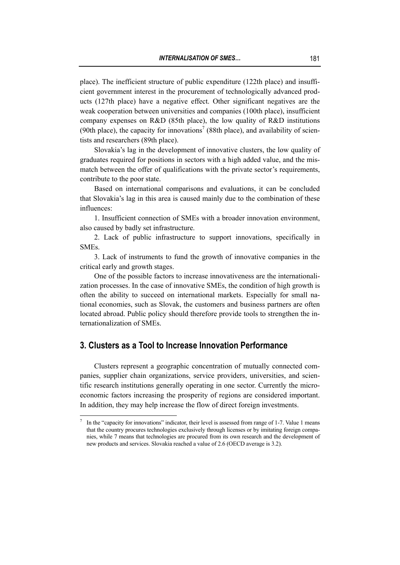place). The inefficient structure of public expenditure (122th place) and insufficient government interest in the procurement of technologically advanced products (127th place) have a negative effect. Other significant negatives are the weak cooperation between universities and companies (100th place), insufficient company expenses on R&D (85th place), the low quality of R&D institutions (90th place), the capacity for innovations<sup>7</sup> (88th place), and availability of scientists and researchers (89th place).

Slovakia's lag in the development of innovative clusters, the low quality of graduates required for positions in sectors with a high added value, and the mismatch between the offer of qualifications with the private sector's requirements, contribute to the poor state.

Based on international comparisons and evaluations, it can be concluded that Slovakia's lag in this area is caused mainly due to the combination of these influences:

1. Insufficient connection of SMEs with a broader innovation environment, also caused by badly set infrastructure.

2. Lack of public infrastructure to support innovations, specifically in **SMEs** 

3. Lack of instruments to fund the growth of innovative companies in the critical early and growth stages.

One of the possible factors to increase innovativeness are the internationalization processes. In the case of innovative SMEs, the condition of high growth is often the ability to succeed on international markets. Especially for small national economies, such as Slovak, the customers and business partners are often located abroad. Public policy should therefore provide tools to strengthen the internationalization of SMEs.

## **3. Clusters as a Tool to Increase Innovation Performance**

 $\overline{a}$ 

Clusters represent a geographic concentration of mutually connected companies, supplier chain organizations, service providers, universities, and scientific research institutions generally operating in one sector. Currently the microeconomic factors increasing the prosperity of regions are considered important. In addition, they may help increase the flow of direct foreign investments.

<sup>7</sup> In the "capacity for innovations" indicator, their level is assessed from range of 1-7. Value 1 means that the country procures technologies exclusively through licenses or by imitating foreign companies, while 7 means that technologies are procured from its own research and the development of new products and services. Slovakia reached a value of 2.6 (OECD average is 3.2).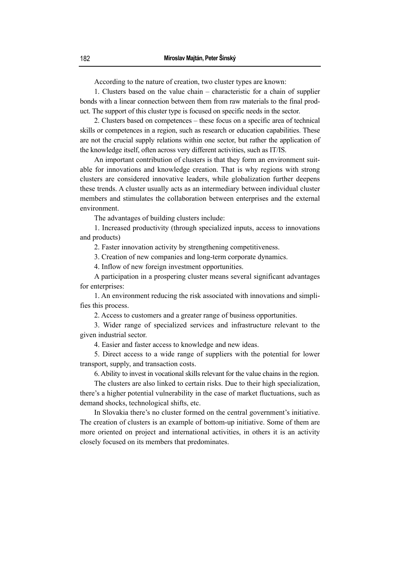According to the nature of creation, two cluster types are known:

1. Clusters based on the value chain – characteristic for a chain of supplier bonds with a linear connection between them from raw materials to the final product. The support of this cluster type is focused on specific needs in the sector.

2. Clusters based on competences – these focus on a specific area of technical skills or competences in a region, such as research or education capabilities. These are not the crucial supply relations within one sector, but rather the application of the knowledge itself, often across very different activities, such as IT/IS.

An important contribution of clusters is that they form an environment suitable for innovations and knowledge creation. That is why regions with strong clusters are considered innovative leaders, while globalization further deepens these trends. A cluster usually acts as an intermediary between individual cluster members and stimulates the collaboration between enterprises and the external environment.

The advantages of building clusters include:

1. Increased productivity (through specialized inputs, access to innovations and products)

2. Faster innovation activity by strengthening competitiveness.

3. Creation of new companies and long-term corporate dynamics.

4. Inflow of new foreign investment opportunities.

A participation in a prospering cluster means several significant advantages for enterprises:

1. An environment reducing the risk associated with innovations and simplifies this process.

2. Access to customers and a greater range of business opportunities.

3. Wider range of specialized services and infrastructure relevant to the given industrial sector.

4. Easier and faster access to knowledge and new ideas.

5. Direct access to a wide range of suppliers with the potential for lower transport, supply, and transaction costs.

6. Ability to invest in vocational skills relevant for the value chains in the region.

The clusters are also linked to certain risks. Due to their high specialization, there's a higher potential vulnerability in the case of market fluctuations, such as demand shocks, technological shifts, etc.

In Slovakia there's no cluster formed on the central government's initiative. The creation of clusters is an example of bottom-up initiative. Some of them are more oriented on project and international activities, in others it is an activity closely focused on its members that predominates.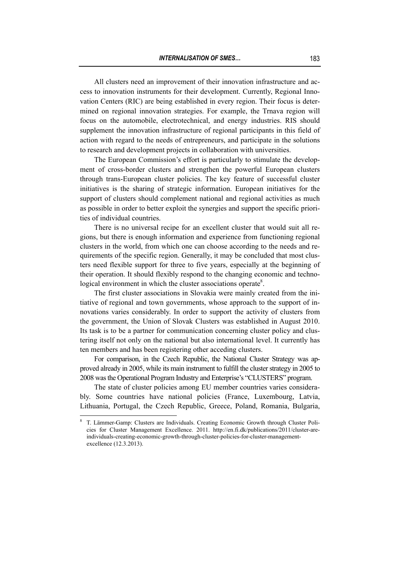All clusters need an improvement of their innovation infrastructure and access to innovation instruments for their development. Currently, Regional Innovation Centers (RIC) are being established in every region. Their focus is determined on regional innovation strategies. For example, the Trnava region will focus on the automobile, electrotechnical, and energy industries. RIS should supplement the innovation infrastructure of regional participants in this field of action with regard to the needs of entrepreneurs, and participate in the solutions to research and development projects in collaboration with universities.

The European Commission's effort is particularly to stimulate the development of cross-border clusters and strengthen the powerful European clusters through trans-European cluster policies. The key feature of successful cluster initiatives is the sharing of strategic information. European initiatives for the support of clusters should complement national and regional activities as much as possible in order to better exploit the synergies and support the specific priorities of individual countries.

There is no universal recipe for an excellent cluster that would suit all regions, but there is enough information and experience from functioning regional clusters in the world, from which one can choose according to the needs and requirements of the specific region. Generally, it may be concluded that most clusters need flexible support for three to five years, especially at the beginning of their operation. It should flexibly respond to the changing economic and technological environment in which the cluster associations operate $8$ .

The first cluster associations in Slovakia were mainly created from the initiative of regional and town governments, whose approach to the support of innovations varies considerably. In order to support the activity of clusters from the government, the Union of Slovak Clusters was established in August 2010. Its task is to be a partner for communication concerning cluster policy and clustering itself not only on the national but also international level. It currently has ten members and has been registering other acceding clusters.

For comparison, in the Czech Republic, the National Cluster Strategy was approved already in 2005, while its main instrument to fulfill the cluster strategy in 2005 to 2008 was the Operational Program Industry and Enterprise's "CLUSTERS" program.

The state of cluster policies among EU member countries varies considerably. Some countries have national policies (France, Luxembourg, Latvia, Lithuania, Portugal, the Czech Republic, Greece, Poland, Romania, Bulgaria,

<sup>8</sup> T. Lämmer-Gamp: Clusters are Individuals. Creating Economic Growth through Cluster Policies for Cluster Management Excellence. 2011. http://en.fi.dk/publications/2011/cluster-areindividuals-creating-economic-growth-through-cluster-policies-for-cluster-managementexcellence (12.3.2013).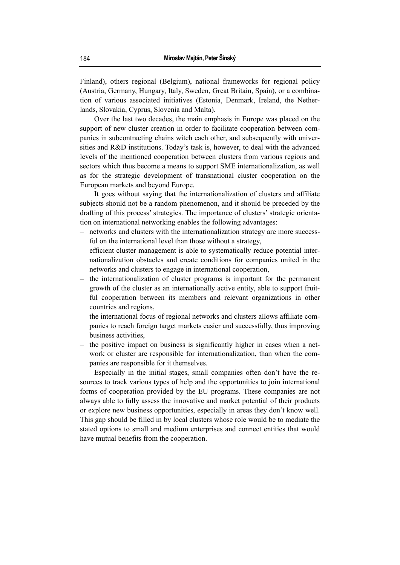Finland), others regional (Belgium), national frameworks for regional policy (Austria, Germany, Hungary, Italy, Sweden, Great Britain, Spain), or a combination of various associated initiatives (Estonia, Denmark, Ireland, the Netherlands, Slovakia, Cyprus, Slovenia and Malta).

Over the last two decades, the main emphasis in Europe was placed on the support of new cluster creation in order to facilitate cooperation between companies in subcontracting chains witch each other, and subsequently with universities and R&D institutions. Today's task is, however, to deal with the advanced levels of the mentioned cooperation between clusters from various regions and sectors which thus become a means to support SME internationalization, as well as for the strategic development of transnational cluster cooperation on the European markets and beyond Europe.

It goes without saying that the internationalization of clusters and affiliate subjects should not be a random phenomenon, and it should be preceded by the drafting of this process' strategies. The importance of clusters' strategic orientation on international networking enables the following advantages:

- networks and clusters with the internationalization strategy are more successful on the international level than those without a strategy,
- efficient cluster management is able to systematically reduce potential internationalization obstacles and create conditions for companies united in the networks and clusters to engage in international cooperation,
- the internationalization of cluster programs is important for the permanent growth of the cluster as an internationally active entity, able to support fruitful cooperation between its members and relevant organizations in other countries and regions,
- the international focus of regional networks and clusters allows affiliate companies to reach foreign target markets easier and successfully, thus improving business activities,
- the positive impact on business is significantly higher in cases when a network or cluster are responsible for internationalization, than when the companies are responsible for it themselves.

Especially in the initial stages, small companies often don't have the resources to track various types of help and the opportunities to join international forms of cooperation provided by the EU programs. These companies are not always able to fully assess the innovative and market potential of their products or explore new business opportunities, especially in areas they don't know well. This gap should be filled in by local clusters whose role would be to mediate the stated options to small and medium enterprises and connect entities that would have mutual benefits from the cooperation.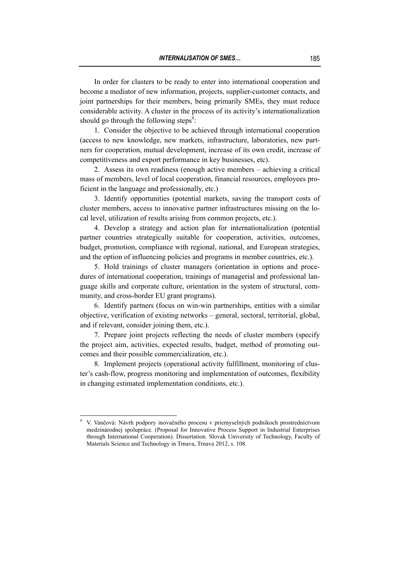In order for clusters to be ready to enter into international cooperation and become a mediator of new information, projects, supplier-customer contacts, and joint partnerships for their members, being primarily SMEs, they must reduce considerable activity. A cluster in the process of its activity's internationalization should go through the following steps $\degree$ :

1. Consider the objective to be achieved through international cooperation (access to new knowledge, new markets, infrastructure, laboratories, new partners for cooperation, mutual development, increase of its own credit, increase of competitiveness and export performance in key businesses, etc).

2. Assess its own readiness (enough active members – achieving a critical mass of members, level of local cooperation, financial resources, employees proficient in the language and professionally, etc.)

3. Identify opportunities (potential markets, saving the transport costs of cluster members, access to innovative partner infrastructures missing on the local level, utilization of results arising from common projects, etc.).

4. Develop a strategy and action plan for internationalization (potential partner countries strategically suitable for cooperation, activities, outcomes, budget, promotion, compliance with regional, national, and European strategies, and the option of influencing policies and programs in member countries, etc.).

5. Hold trainings of cluster managers (orientation in options and procedures of international cooperation, trainings of managerial and professional language skills and corporate culture, orientation in the system of structural, community, and cross-border EU grant programs).

6. Identify partners (focus on win-win partnerships, entities with a similar objective, verification of existing networks – general, sectoral, territorial, global, and if relevant, consider joining them, etc.).

7. Prepare joint projects reflecting the needs of cluster members (specify the project aim, activities, expected results, budget, method of promoting outcomes and their possible commercialization, etc.).

8. Implement projects (operational activity fulfillment, monitoring of cluster's cash-flow, progress monitoring and implementation of outcomes, flexibility in changing estimated implementation conditions, etc.).

<sup>9</sup> V. Vančová: Návrh podpory inovačného procesu v priemyselných podnikoch prostredníctvom medzinárodnej spolupráce. (Proposal for Innovative Process Support in Industrial Enterprises through International Cooperation). Dissertation. Slovak University of Technology, Faculty of Materials Science and Technology in Trnava, Trnava 2012, s. 108.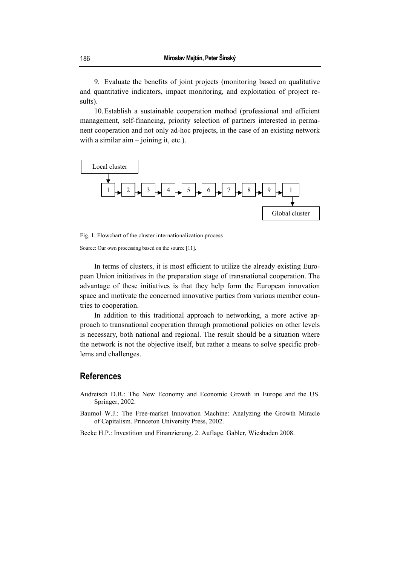9. Evaluate the benefits of joint projects (monitoring based on qualitative and quantitative indicators, impact monitoring, and exploitation of project results).

10.Establish a sustainable cooperation method (professional and efficient management, self-financing, priority selection of partners interested in permanent cooperation and not only ad-hoc projects, in the case of an existing network with a similar aim – joining it, etc.).



Fig. 1. Flowchart of the cluster internationalization process

Source: Our own processing based on the source [11].

In terms of clusters, it is most efficient to utilize the already existing European Union initiatives in the preparation stage of transnational cooperation. The advantage of these initiatives is that they help form the European innovation space and motivate the concerned innovative parties from various member countries to cooperation.

In addition to this traditional approach to networking, a more active approach to transnational cooperation through promotional policies on other levels is necessary, both national and regional. The result should be a situation where the network is not the objective itself, but rather a means to solve specific problems and challenges.

#### **References**

- Audretsch D.B.: The New Economy and Economic Growth in Europe and the US. Springer, 2002.
- Baumol W.J.: The Free-market Innovation Machine: Analyzing the Growth Miracle of Capitalism. Princeton University Press, 2002.

Becke H.P.: Investition und Finanzierung. 2. Auflage. Gabler, Wiesbaden 2008.